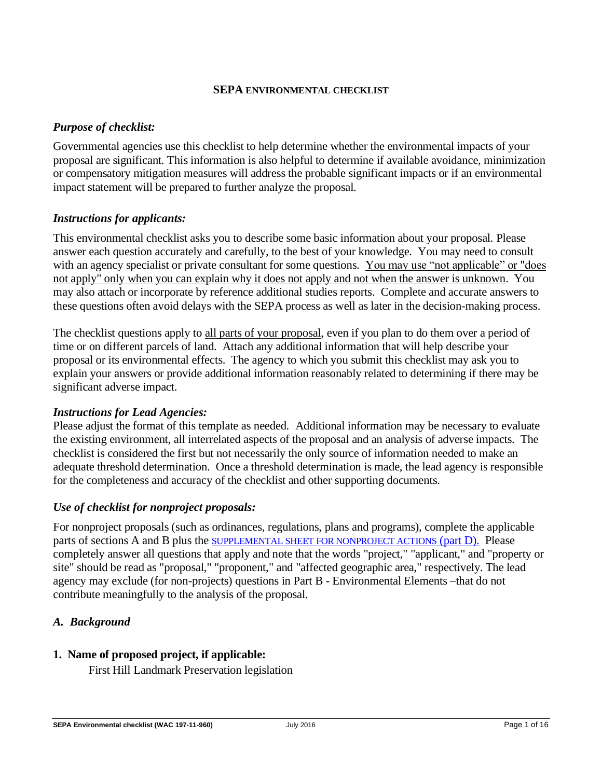#### **[SEPA](https://ecology.wa.gov/Regulations-Permits/SEPA/Environmental-review/SEPA-guidance/Checklist-guidance) ENVIRONMENTAL CHECKLIST**

#### *Purpose of checklist:*

Governmental agencies use this checklist to help determine whether the environmental impacts of your proposal are significant. This information is also helpful to determine if available avoidance, minimization or compensatory mitigation measures will address the probable significant impacts or if an environmental impact statement will be prepared to further analyze the proposal.

#### *Instructions for applicants:*

This environmental checklist asks you to describe some basic information about your proposal. Please answer each question accurately and carefully, to the best of your knowledge. You may need to consult with an agency specialist or private consultant for some questions. You may use "not applicable" or "does" not apply" only when you can explain why it does not apply and not when the answer is unknown. You may also attach or incorporate by reference additional studies reports. Complete and accurate answers to these questions often avoid delays with the SEPA process as well as later in the decision-making process.

The checklist questions apply to all parts of your proposal, even if you plan to do them over a period of time or on different parcels of land. Attach any additional information that will help describe your proposal or its environmental effects. The agency to which you submit this checklist may ask you to explain your answers or provide additional information reasonably related to determining if there may be significant adverse impact.

#### *Instructions for Lead Agencies:*

Please adjust the format of this template as needed. Additional information may be necessary to evaluate the existing environment, all interrelated aspects of the proposal and an analysis of adverse impacts. The checklist is considered the first but not necessarily the only source of information needed to make an adequate threshold determination. Once a threshold determination is made, the lead agency is responsible for the completeness and accuracy of the checklist and other supporting documents.

## *Use of checklist for nonproject proposals:*

For nonproject proposals (such as ordinances, regulations, plans and programs), complete the applicable parts of sections A and B plus the [SUPPLEMENTAL SHEET FOR NONPROJECT ACTIONS](#page-12-0) (part D). Please completely answer all questions that apply and note that the words "project," "applicant," and "property or site" should be read as "proposal," "proponent," and "affected geographic area," respectively. The lead agency may exclude (for non-projects) questions in Part B - Environmental Elements –that do not contribute meaningfully to the analysis of the proposal.

## *A. Background*

## **1. Name of proposed project, if applicable:**

First Hill Landmark Preservation legislation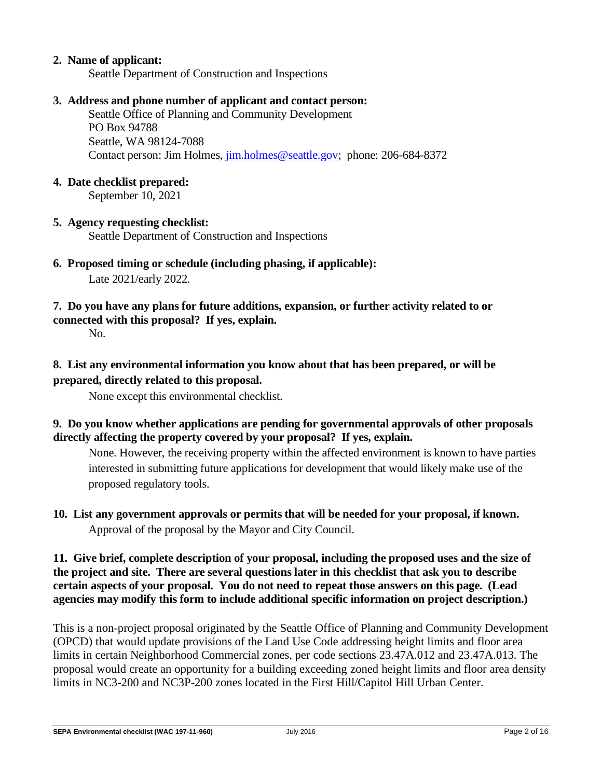#### **2. Name of applicant:**

Seattle Department of Construction and Inspections

#### **3. Address and phone number of applicant and contact person:**

Seattle Office of Planning and Community Development PO Box 94788 Seattle, WA 98124-7088 Contact person: Jim Holmes, [jim.holmes@seattle.gov;](mailto:jim.holmes@seattle.gov) phone: 206-684-8372

#### **4. Date checklist prepared:**

September 10, 2021

#### **5. Agency requesting checklist:**

Seattle Department of Construction and Inspections

- **6. Proposed timing or schedule (including phasing, if applicable):** Late 2021/early 2022.
- **7. Do you have any plans for future additions, expansion, or further activity related to or connected with this proposal? If yes, explain.**

No.

## **8. List any environmental information you know about that has been prepared, or will be prepared, directly related to this proposal.**

None except this environmental checklist.

#### **9. Do you know whether applications are pending for governmental approvals of other proposals directly affecting the property covered by your proposal? If yes, explain.**

None. However, the receiving property within the affected environment is known to have parties interested in submitting future applications for development that would likely make use of the proposed regulatory tools.

**10. List any government approvals or permits that will be needed for your proposal, if known.** Approval of the proposal by the Mayor and City Council.

#### **11. Give brief, complete description of your proposal, including the proposed uses and the size of the project and site. There are several questions later in this checklist that ask you to describe certain aspects of your proposal. You do not need to repeat those answers on this page. (Lead agencies may modify this form to include additional specific information on project description.)**

This is a non-project proposal originated by the Seattle Office of Planning and Community Development (OPCD) that would update provisions of the Land Use Code addressing height limits and floor area limits in certain Neighborhood Commercial zones, per code sections 23.47A.012 and 23.47A.013. The proposal would create an opportunity for a building exceeding zoned height limits and floor area density limits in NC3-200 and NC3P-200 zones located in the First Hill/Capitol Hill Urban Center.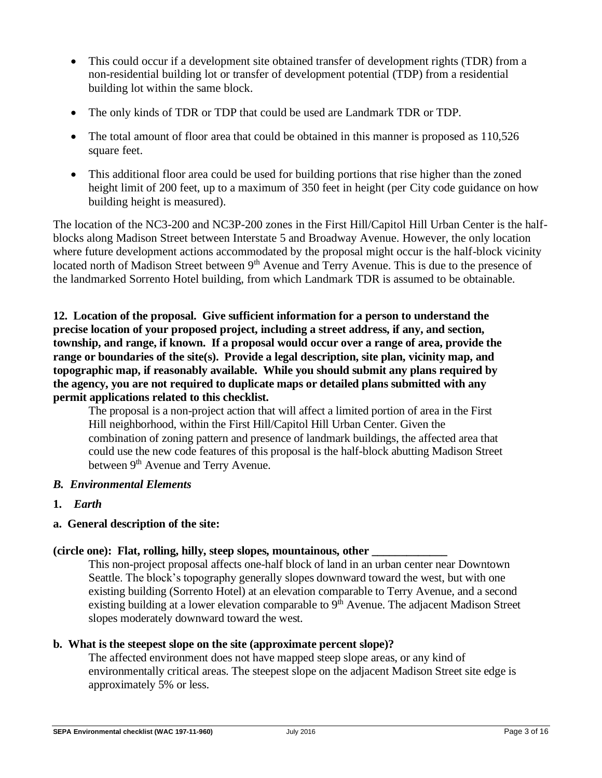- This could occur if a development site obtained transfer of development rights (TDR) from a non-residential building lot or transfer of development potential (TDP) from a residential building lot within the same block.
- The only kinds of TDR or TDP that could be used are Landmark TDR or TDP.
- The total amount of floor area that could be obtained in this manner is proposed as 110,526 square feet.
- This additional floor area could be used for building portions that rise higher than the zoned height limit of 200 feet, up to a maximum of 350 feet in height (per City code guidance on how building height is measured).

The location of the NC3-200 and NC3P-200 zones in the First Hill/Capitol Hill Urban Center is the halfblocks along Madison Street between Interstate 5 and Broadway Avenue. However, the only location where future development actions accommodated by the proposal might occur is the half-block vicinity located north of Madison Street between 9<sup>th</sup> Avenue and Terry Avenue. This is due to the presence of the landmarked Sorrento Hotel building, from which Landmark TDR is assumed to be obtainable.

**12. Location of the proposal. Give sufficient information for a person to understand the precise location of your proposed project, including a street address, if any, and section, township, and range, if known. If a proposal would occur over a range of area, provide the range or boundaries of the site(s). Provide a legal description, site plan, vicinity map, and topographic map, if reasonably available. While you should submit any plans required by the agency, you are not required to duplicate maps or detailed plans submitted with any permit applications related to this checklist.**

The proposal is a non-project action that will affect a limited portion of area in the First Hill neighborhood, within the First Hill/Capitol Hill Urban Center. Given the combination of zoning pattern and presence of landmark buildings, the affected area that could use the new code features of this proposal is the half-block abutting Madison Street between 9<sup>th</sup> Avenue and Terry Avenue.

- *B. Environmental Elements*
- **1.** *Earth*

## **a. General description of the site:**

#### **(circle one): Flat, rolling, hilly, steep slopes, mountainous, other \_\_\_\_\_\_\_\_\_\_\_\_\_**

This non-project proposal affects one-half block of land in an urban center near Downtown Seattle. The block's topography generally slopes downward toward the west, but with one existing building (Sorrento Hotel) at an elevation comparable to Terry Avenue, and a second existing building at a lower elevation comparable to  $9<sup>th</sup>$  Avenue. The adjacent Madison Street slopes moderately downward toward the west.

## **b. What is the steepest slope on the site (approximate percent slope)?**

The affected environment does not have mapped steep slope areas, or any kind of environmentally critical areas. The steepest slope on the adjacent Madison Street site edge is approximately 5% or less.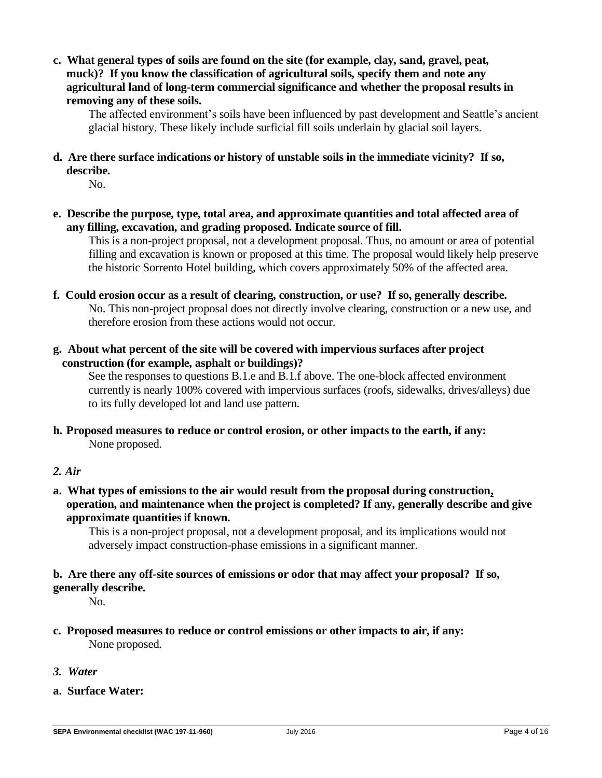**c. What general types of soils are found on the site (for example, clay, sand, gravel, peat, muck)? If you know the classification of agricultural soils, specify them and note any agricultural land of long-term commercial significance and whether the proposal results in removing any of these soils.**

The affected environment's soils have been influenced by past development and Seattle's ancient glacial history. These likely include surficial fill soils underlain by glacial soil layers.

## **d. Are there surface indications or history of unstable soils in the immediate vicinity? If so, describe.**

No.

**e. Describe the purpose, type, total area, and approximate quantities and total affected area of any filling, excavation, and grading proposed. Indicate source of fill.**

This is a non-project proposal, not a development proposal. Thus, no amount or area of potential filling and excavation is known or proposed at this time. The proposal would likely help preserve the historic Sorrento Hotel building, which covers approximately 50% of the affected area.

- **f. Could erosion occur as a result of clearing, construction, or use? If so, generally describe.** No. This non-project proposal does not directly involve clearing, construction or a new use, and therefore erosion from these actions would not occur.
- **g. About what percent of the site will be covered with impervious surfaces after project construction (for example, asphalt or buildings)?**

See the responses to questions B.1.e and B.1.f above. The one-block affected environment currently is nearly 100% covered with impervious surfaces (roofs, sidewalks, drives/alleys) due to its fully developed lot and land use pattern.

**h. Proposed measures to reduce or control erosion, or other impacts to the earth, if any:** None proposed.

## *2. Air*

**a. What types of emissions to the air would result from the proposal during construction, operation, and maintenance when the project is completed? If any, generally describe and give approximate quantities if known.**

This is a non-project proposal, not a development proposal, and its implications would not adversely impact construction-phase emissions in a significant manner.

## **b. Are there any off-site sources of emissions or odor that may affect your proposal? If so, generally describe.**

No.

- **c. Proposed measures to reduce or control emissions or other impacts to air, if any:** None proposed.
- *3. Water*
- **a. Surface Water:**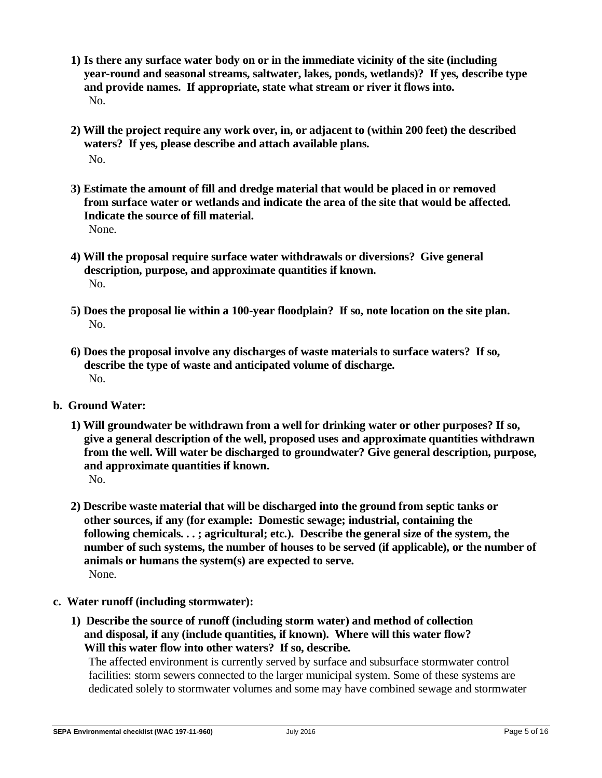- **1) Is there any surface water body on or in the immediate vicinity of the site (including year-round and seasonal streams, saltwater, lakes, ponds, wetlands)? If yes, describe type and provide names. If appropriate, state what stream or river it flows into.** No.
- **2) Will the project require any work over, in, or adjacent to (within 200 feet) the described waters? If yes, please describe and attach available plans.** No.
- **3) Estimate the amount of fill and dredge material that would be placed in or removed from surface water or wetlands and indicate the area of the site that would be affected. Indicate the source of fill material.** None.
- **4) Will the proposal require surface water withdrawals or diversions? Give general description, purpose, and approximate quantities if known.** No.
- **5) Does the proposal lie within a 100-year floodplain? If so, note location on the site plan.** No.
- **6) Does the proposal involve any discharges of waste materials to surface waters? If so, describe the type of waste and anticipated volume of discharge.** No.
- **b. Ground Water:**
	- **1) Will groundwater be withdrawn from a well for drinking water or other purposes? If so, give a general description of the well, proposed uses and approximate quantities withdrawn from the well. Will water be discharged to groundwater? Give general description, purpose, and approximate quantities if known.** No.
	- **2) Describe waste material that will be discharged into the ground from septic tanks or other sources, if any (for example: Domestic sewage; industrial, containing the following chemicals. . . ; agricultural; etc.). Describe the general size of the system, the number of such systems, the number of houses to be served (if applicable), or the number of animals or humans the system(s) are expected to serve.** None.
- **c. Water runoff (including stormwater):**
	- **1) Describe the source of runoff (including storm water) and method of collection and disposal, if any (include quantities, if known). Where will this water flow? Will this water flow into other waters? If so, describe.**

The affected environment is currently served by surface and subsurface stormwater control facilities: storm sewers connected to the larger municipal system. Some of these systems are dedicated solely to stormwater volumes and some may have combined sewage and stormwater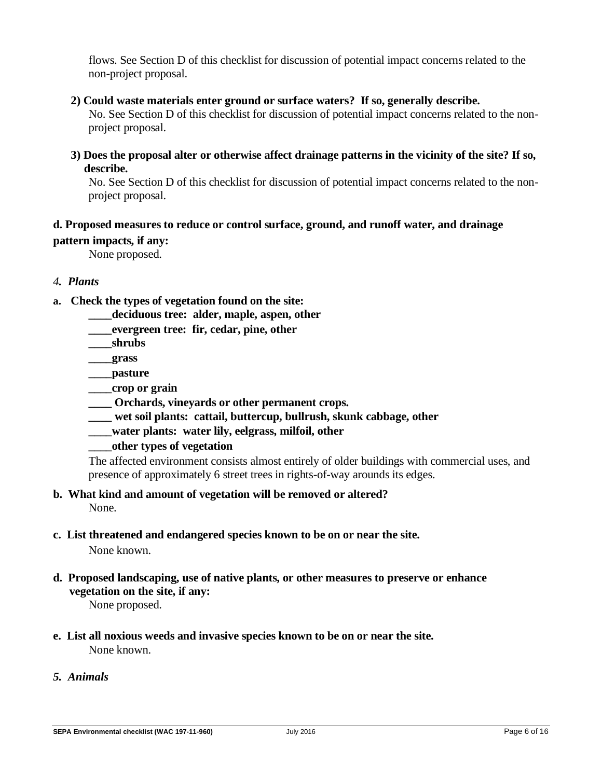flows. See Section D of this checklist for discussion of potential impact concerns related to the non-project proposal.

**2) Could waste materials enter ground or surface waters? If so, generally describe.**

No. See Section D of this checklist for discussion of potential impact concerns related to the nonproject proposal.

**3) Does the proposal alter or otherwise affect drainage patterns in the vicinity of the site? If so, describe.**

No. See Section D of this checklist for discussion of potential impact concerns related to the nonproject proposal.

# **d. Proposed measures to reduce or control surface, ground, and runoff water, and drainage**

**pattern impacts, if any:**

None proposed.

#### *4. Plants*

- **a. Check the types of vegetation found on the site:**
	- **\_\_\_\_deciduous tree: alder, maple, aspen, other**
	- **\_\_\_\_evergreen tree: fir, cedar, pine, other**
	- **\_\_\_\_shrubs**
	- **\_\_\_\_grass**
	- **\_\_\_\_pasture**
	- **\_\_\_\_crop or grain**
	- **\_\_\_\_ Orchards, vineyards or other permanent crops.**
	- **\_\_\_\_ wet soil plants: cattail, buttercup, bullrush, skunk cabbage, other**
	- **\_\_\_\_water plants: water lily, eelgrass, milfoil, other**
	- **\_\_\_\_other types of vegetation**

The affected environment consists almost entirely of older buildings with commercial uses, and presence of approximately 6 street trees in rights-of-way arounds its edges.

- **b. What kind and amount of vegetation will be removed or altered?** None.
- **c. List threatened and endangered species known to be on or near the site.** None known.
- **d. Proposed landscaping, use of native plants, or other measures to preserve or enhance vegetation on the site, if any:**

None proposed.

- **e. List all noxious weeds and invasive species known to be on or near the site.** None known.
- *5. Animals*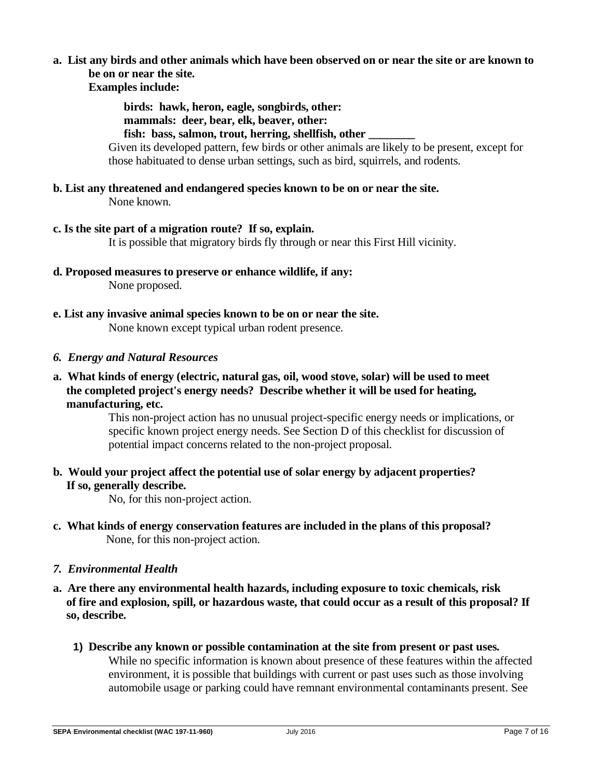# **a. List any birds and other animals which have been observed on or near the site or are known to be on or near the site.**

**Examples include:**

**birds: hawk, heron, eagle, songbirds, other:** 

**mammals: deer, bear, elk, beaver, other:** 

**fish: bass, salmon, trout, herring, shellfish, other \_\_\_\_\_\_\_\_**

Given its developed pattern, few birds or other animals are likely to be present, except for those habituated to dense urban settings, such as bird, squirrels, and rodents.

- **b. List any threatened and endangered species known to be on or near the site.** None known.
- **c. Is the site part of a migration route? If so, explain.**

It is possible that migratory birds fly through or near this First Hill vicinity.

- **d. Proposed measures to preserve or enhance wildlife, if any:**  None proposed.
- **e. List any invasive animal species known to be on or near the site.** None known except typical urban rodent presence.
- *6. Energy and Natural Resources*
- **a. What kinds of energy (electric, natural gas, oil, wood stove, solar) will be used to meet the completed project's energy needs? Describe whether it will be used for heating, manufacturing, etc.**

This non-project action has no unusual project-specific energy needs or implications, or specific known project energy needs. See Section D of this checklist for discussion of potential impact concerns related to the non-project proposal.

**b. Would your project affect the potential use of solar energy by adjacent properties? If so, generally describe.**

No, for this non-project action.

- **c. What kinds of energy conservation features are included in the plans of this proposal?** None, for this non-project action.
- *7. Environmental Health*
- **a. Are there any environmental health hazards, including exposure to toxic chemicals, risk of fire and explosion, spill, or hazardous waste, that could occur as a result of this proposal? If so, describe.**
	- **1) Describe any known or possible contamination at the site from present or past uses.** While no specific information is known about presence of these features within the affected environment, it is possible that buildings with current or past uses such as those involving automobile usage or parking could have remnant environmental contaminants present. See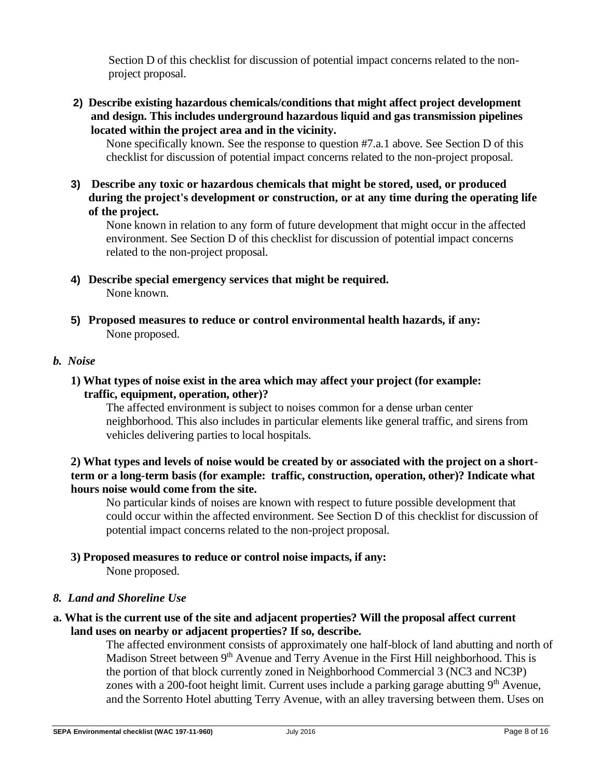Section D of this checklist for discussion of potential impact concerns related to the nonproject proposal.

**2) Describe existing hazardous chemicals/conditions that might affect project development and design. This includes underground hazardous liquid and gas transmission pipelines located within the project area and in the vicinity.**

None specifically known. See the response to question #7.a.1 above. See Section D of this checklist for discussion of potential impact concerns related to the non-project proposal.

**3) Describe any toxic or hazardous chemicals that might be stored, used, or produced during the project's development or construction, or at any time during the operating life of the project.**

None known in relation to any form of future development that might occur in the affected environment. See Section D of this checklist for discussion of potential impact concerns related to the non-project proposal.

- **4) Describe special emergency services that might be required.** None known.
- **5) Proposed measures to reduce or control environmental health hazards, if any:** None proposed.

#### *b. Noise*

#### **1) What types of noise exist in the area which may affect your project (for example: traffic, equipment, operation, other)?**

The affected environment is subject to noises common for a dense urban center neighborhood. This also includes in particular elements like general traffic, and sirens from vehicles delivering parties to local hospitals.

#### **2) What types and levels of noise would be created by or associated with the project on a shortterm or a long-term basis (for example: traffic, construction, operation, other)? Indicate what hours noise would come from the site.**

No particular kinds of noises are known with respect to future possible development that could occur within the affected environment. See Section D of this checklist for discussion of potential impact concerns related to the non-project proposal.

# **3) Proposed measures to reduce or control noise impacts, if any:**

None proposed.

## *8. Land and Shoreline Use*

## **a. What is the current use of the site and adjacent properties? Will the proposal affect current land uses on nearby or adjacent properties? If so, describe.**

The affected environment consists of approximately one half-block of land abutting and north of Madison Street between 9<sup>th</sup> Avenue and Terry Avenue in the First Hill neighborhood. This is the portion of that block currently zoned in Neighborhood Commercial 3 (NC3 and NC3P) zones with a 200-foot height limit. Current uses include a parking garage abutting  $9<sup>th</sup>$  Avenue, and the Sorrento Hotel abutting Terry Avenue, with an alley traversing between them. Uses on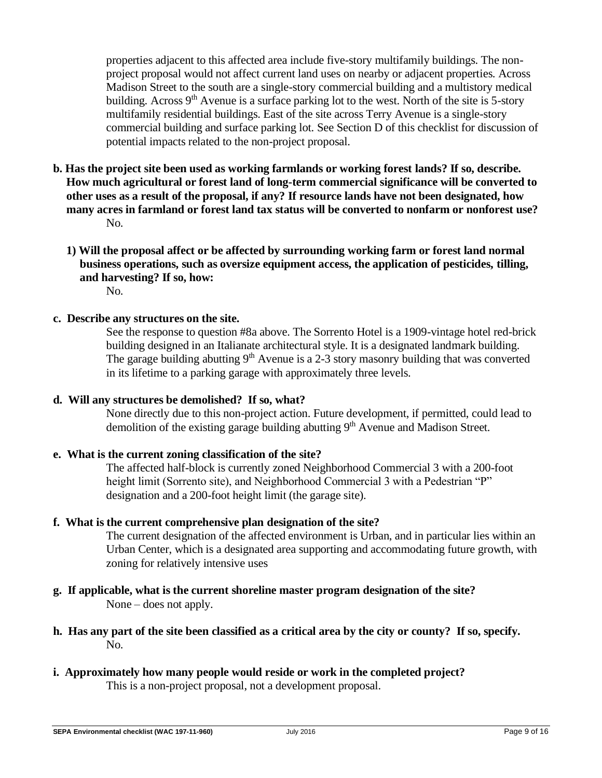properties adjacent to this affected area include five-story multifamily buildings. The nonproject proposal would not affect current land uses on nearby or adjacent properties. Across Madison Street to the south are a single-story commercial building and a multistory medical building. Across  $9<sup>th</sup>$  Avenue is a surface parking lot to the west. North of the site is 5-story multifamily residential buildings. East of the site across Terry Avenue is a single-story commercial building and surface parking lot. See Section D of this checklist for discussion of potential impacts related to the non-project proposal.

- **b. Has the project site been used as working farmlands or working forest lands? If so, describe. How much agricultural or forest land of long-term commercial significance will be converted to other uses as a result of the proposal, if any? If resource lands have not been designated, how many acres in farmland or forest land tax status will be converted to nonfarm or nonforest use?** No.
	- **1) Will the proposal affect or be affected by surrounding working farm or forest land normal business operations, such as oversize equipment access, the application of pesticides, tilling, and harvesting? If so, how:** No.
- **c. Describe any structures on the site.**

See the response to question #8a above. The Sorrento Hotel is a 1909-vintage hotel red-brick building designed in an Italianate architectural style. It is a designated landmark building. The garage building abutting  $9<sup>th</sup>$  Avenue is a 2-3 story masonry building that was converted in its lifetime to a parking garage with approximately three levels.

#### **d. Will any structures be demolished? If so, what?**

None directly due to this non-project action. Future development, if permitted, could lead to demolition of the existing garage building abutting 9<sup>th</sup> Avenue and Madison Street.

#### **e. What is the current zoning classification of the site?**

The affected half-block is currently zoned Neighborhood Commercial 3 with a 200-foot height limit (Sorrento site), and Neighborhood Commercial 3 with a Pedestrian "P" designation and a 200-foot height limit (the garage site).

#### **f. What is the current comprehensive plan designation of the site?**

The current designation of the affected environment is Urban, and in particular lies within an Urban Center, which is a designated area supporting and accommodating future growth, with zoning for relatively intensive uses

- **g. If applicable, what is the current shoreline master program designation of the site?** None – does not apply.
- **h. Has any part of the site been classified as a critical area by the city or county? If so, specify.** No.
- **i. Approximately how many people would reside or work in the completed project?** This is a non-project proposal, not a development proposal.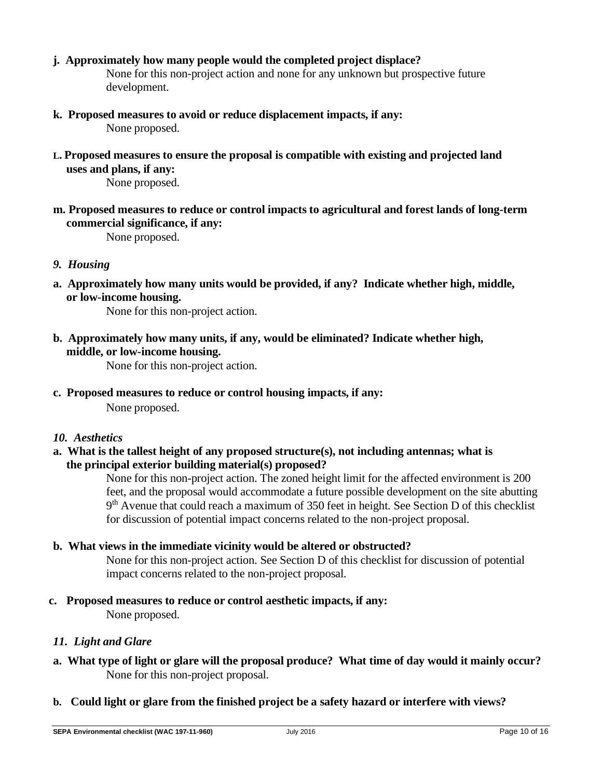**j. Approximately how many people would the completed project displace?**

None for this non-project action and none for any unknown but prospective future development.

- **k. Proposed measures to avoid or reduce displacement impacts, if any:** None proposed.
- **L. Proposed measures to ensure the proposal is compatible with existing and projected land uses and plans, if any:**

None proposed.

**m. Proposed measures to reduce or control impacts to agricultural and forest lands of long-term commercial significance, if any:**

None proposed.

- *9. Housing*
- **a. Approximately how many units would be provided, if any? Indicate whether high, middle, or low-income housing.**

None for this non-project action.

**b. Approximately how many units, if any, would be eliminated? Indicate whether high, middle, or low-income housing.**

None for this non-project action.

**c. Proposed measures to reduce or control housing impacts, if any:**

None proposed.

- *10. Aesthetics*
- **a. What is the tallest height of any proposed structure(s), not including antennas; what is the principal exterior building material(s) proposed?**

None for this non-project action. The zoned height limit for the affected environment is 200 feet, and the proposal would accommodate a future possible development on the site abutting 9<sup>th</sup> Avenue that could reach a maximum of 350 feet in height. See Section D of this checklist for discussion of potential impact concerns related to the non-project proposal.

## **b. What views in the immediate vicinity would be altered or obstructed?**

None for this non-project action. See Section D of this checklist for discussion of potential impact concerns related to the non-project proposal.

**c. Proposed measures to reduce or control aesthetic impacts, if any:**

None proposed.

## *11. Light and Glare*

- **a. What type of light or glare will the proposal produce? What time of day would it mainly occur?** None for this non-project proposal.
- **b. Could light or glare from the finished project be a safety hazard or interfere with views?**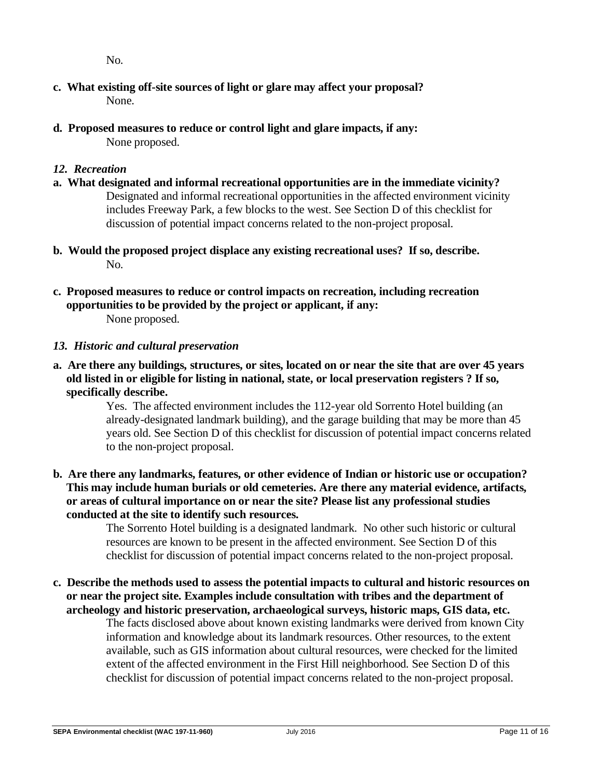No.

- **c. What existing off-site sources of light or glare may affect your proposal?** None.
- **d. Proposed measures to reduce or control light and glare impacts, if any:** None proposed.

## *12. Recreation*

- **a. What designated and informal recreational opportunities are in the immediate vicinity?** Designated and informal recreational opportunities in the affected environment vicinity includes Freeway Park, a few blocks to the west. See Section D of this checklist for discussion of potential impact concerns related to the non-project proposal.
- **b. Would the proposed project displace any existing recreational uses? If so, describe.** No.
- **c. Proposed measures to reduce or control impacts on recreation, including recreation opportunities to be provided by the project or applicant, if any:** None proposed.

## *13. Historic and cultural preservation*

**a. Are there any buildings, structures, or sites, located on or near the site that are over 45 years old listed in or eligible for listing in national, state, or local preservation registers ? If so, specifically describe.**

Yes. The affected environment includes the 112-year old Sorrento Hotel building (an already-designated landmark building), and the garage building that may be more than 45 years old. See Section D of this checklist for discussion of potential impact concerns related to the non-project proposal.

**b. Are there any landmarks, features, or other evidence of Indian or historic use or occupation? This may include human burials or old cemeteries. Are there any material evidence, artifacts, or areas of cultural importance on or near the site? Please list any professional studies conducted at the site to identify such resources.**

> The Sorrento Hotel building is a designated landmark. No other such historic or cultural resources are known to be present in the affected environment. See Section D of this checklist for discussion of potential impact concerns related to the non-project proposal.

**c. Describe the methods used to assess the potential impacts to cultural and historic resources on or near the project site. Examples include consultation with tribes and the department of archeology and historic preservation, archaeological surveys, historic maps, GIS data, etc.** 

The facts disclosed above about known existing landmarks were derived from known City information and knowledge about its landmark resources. Other resources, to the extent available, such as GIS information about cultural resources, were checked for the limited extent of the affected environment in the First Hill neighborhood. See Section D of this checklist for discussion of potential impact concerns related to the non-project proposal.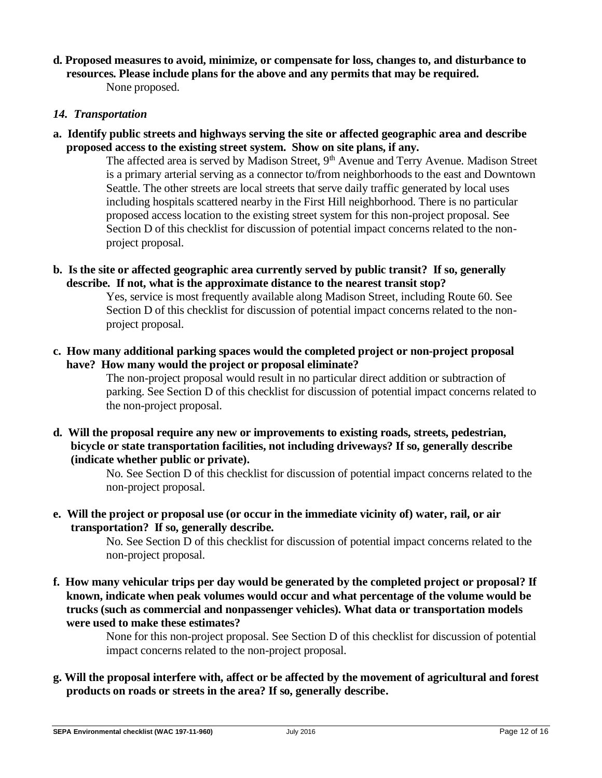**d. Proposed measures to avoid, minimize, or compensate for loss, changes to, and disturbance to resources. Please include plans for the above and any permits that may be required.** None proposed.

#### *14. Transportation*

**a. Identify public streets and highways serving the site or affected geographic area and describe proposed access to the existing street system. Show on site plans, if any.**

> The affected area is served by Madison Street, 9<sup>th</sup> Avenue and Terry Avenue. Madison Street is a primary arterial serving as a connector to/from neighborhoods to the east and Downtown Seattle. The other streets are local streets that serve daily traffic generated by local uses including hospitals scattered nearby in the First Hill neighborhood. There is no particular proposed access location to the existing street system for this non-project proposal. See Section D of this checklist for discussion of potential impact concerns related to the nonproject proposal.

**b. Is the site or affected geographic area currently served by public transit? If so, generally describe. If not, what is the approximate distance to the nearest transit stop?**

> Yes, service is most frequently available along Madison Street, including Route 60. See Section D of this checklist for discussion of potential impact concerns related to the nonproject proposal.

**c. How many additional parking spaces would the completed project or non-project proposal have? How many would the project or proposal eliminate?**

> The non-project proposal would result in no particular direct addition or subtraction of parking. See Section D of this checklist for discussion of potential impact concerns related to the non-project proposal.

**d. Will the proposal require any new or improvements to existing roads, streets, pedestrian, bicycle or state transportation facilities, not including driveways? If so, generally describe (indicate whether public or private).**

> No. See Section D of this checklist for discussion of potential impact concerns related to the non-project proposal.

**e. Will the project or proposal use (or occur in the immediate vicinity of) water, rail, or air transportation? If so, generally describe.**

> No. See Section D of this checklist for discussion of potential impact concerns related to the non-project proposal.

**f. How many vehicular trips per day would be generated by the completed project or proposal? If known, indicate when peak volumes would occur and what percentage of the volume would be trucks (such as commercial and nonpassenger vehicles). What data or transportation models were used to make these estimates?**

> None for this non-project proposal. See Section D of this checklist for discussion of potential impact concerns related to the non-project proposal.

**g. Will the proposal interfere with, affect or be affected by the movement of agricultural and forest products on roads or streets in the area? If so, generally describe.**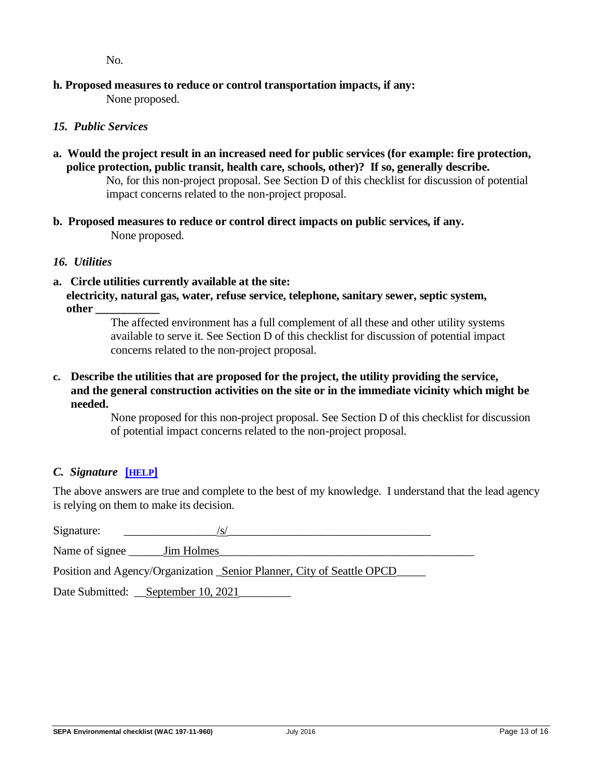No.

# **h. Proposed measures to reduce or control transportation impacts, if any:**

None proposed.

# *15. Public Services*

- **a. Would the project result in an increased need for public services (for example: fire protection, police protection, public transit, health care, schools, other)? If so, generally describe.** No, for this non-project proposal. See Section D of this checklist for discussion of potential impact concerns related to the non-project proposal.
- **b. Proposed measures to reduce or control direct impacts on public services, if any.** None proposed.

## *16. Utilities*

**a. Circle utilities currently available at the site: electricity, natural gas, water, refuse service, telephone, sanitary sewer, septic system, other \_\_\_\_\_\_\_\_\_\_\_**

> The affected environment has a full complement of all these and other utility systems available to serve it. See Section D of this checklist for discussion of potential impact concerns related to the non-project proposal.

## **c. Describe the utilities that are proposed for the project, the utility providing the service, and the general construction activities on the site or in the immediate vicinity which might be needed.**

None proposed for this non-project proposal. See Section D of this checklist for discussion of potential impact concerns related to the non-project proposal.

# *C. Signature* **[[HELP](https://ecology.wa.gov/Regulations-Permits/SEPA/Environmental-review/SEPA-guidance/SEPA-checklist-guidance/SEPA-Checklist-Section-C-Signature)]**

The above answers are true and complete to the best of my knowledge. I understand that the lead agency is relying on them to make its decision.

<span id="page-12-0"></span>Signature:  $\frac{|S|}{|S|}$ Name of signee Jim Holmes Position and Agency/Organization <u>Senior Planner, City of Seattle OPCD</u> Date Submitted: <u>September 10, 2021</u>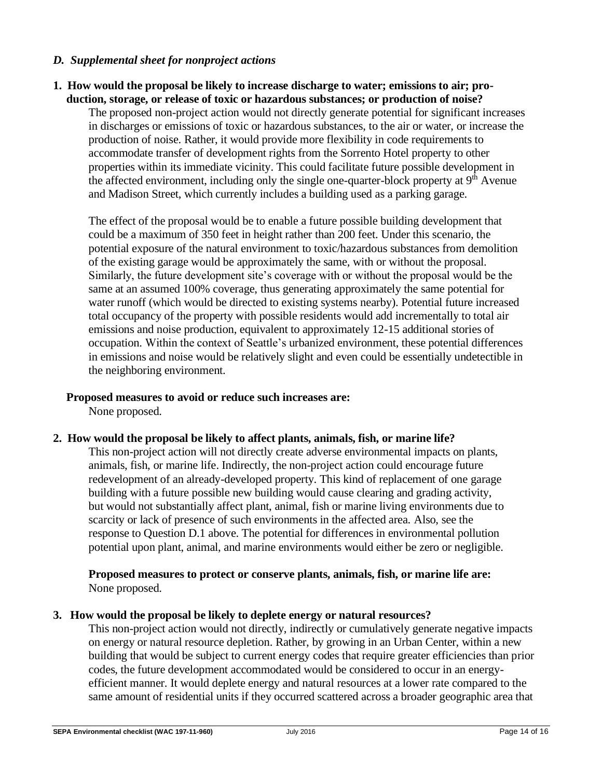#### *D. Supplemental sheet for nonproject actions*

#### **1. How would the proposal be likely to increase discharge to water; emissions to air; production, storage, or release of toxic or hazardous substances; or production of noise?**

The proposed non-project action would not directly generate potential for significant increases in discharges or emissions of toxic or hazardous substances, to the air or water, or increase the production of noise. Rather, it would provide more flexibility in code requirements to accommodate transfer of development rights from the Sorrento Hotel property to other properties within its immediate vicinity. This could facilitate future possible development in the affected environment, including only the single one-quarter-block property at  $9<sup>th</sup>$  Avenue and Madison Street, which currently includes a building used as a parking garage.

The effect of the proposal would be to enable a future possible building development that could be a maximum of 350 feet in height rather than 200 feet. Under this scenario, the potential exposure of the natural environment to toxic/hazardous substances from demolition of the existing garage would be approximately the same, with or without the proposal. Similarly, the future development site's coverage with or without the proposal would be the same at an assumed 100% coverage, thus generating approximately the same potential for water runoff (which would be directed to existing systems nearby). Potential future increased total occupancy of the property with possible residents would add incrementally to total air emissions and noise production, equivalent to approximately 12-15 additional stories of occupation. Within the context of Seattle's urbanized environment, these potential differences in emissions and noise would be relatively slight and even could be essentially undetectible in the neighboring environment.

#### **Proposed measures to avoid or reduce such increases are:**

None proposed.

#### **2. How would the proposal be likely to affect plants, animals, fish, or marine life?**

This non-project action will not directly create adverse environmental impacts on plants, animals, fish, or marine life. Indirectly, the non-project action could encourage future redevelopment of an already-developed property. This kind of replacement of one garage building with a future possible new building would cause clearing and grading activity, but would not substantially affect plant, animal, fish or marine living environments due to scarcity or lack of presence of such environments in the affected area. Also, see the response to Question D.1 above. The potential for differences in environmental pollution potential upon plant, animal, and marine environments would either be zero or negligible.

#### **Proposed measures to protect or conserve plants, animals, fish, or marine life are:** None proposed.

#### **3. How would the proposal be likely to deplete energy or natural resources?**

This non-project action would not directly, indirectly or cumulatively generate negative impacts on energy or natural resource depletion. Rather, by growing in an Urban Center, within a new building that would be subject to current energy codes that require greater efficiencies than prior codes, the future development accommodated would be considered to occur in an energyefficient manner. It would deplete energy and natural resources at a lower rate compared to the same amount of residential units if they occurred scattered across a broader geographic area that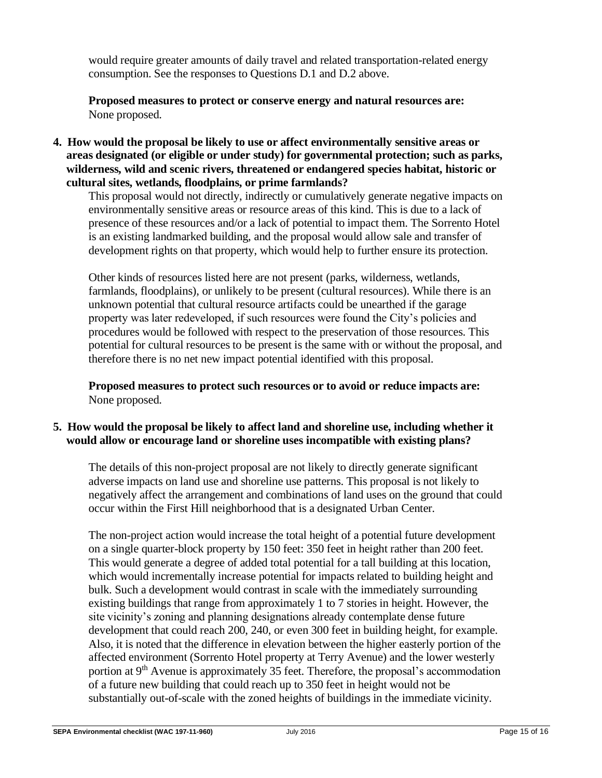would require greater amounts of daily travel and related transportation-related energy consumption. See the responses to Questions D.1 and D.2 above.

**Proposed measures to protect or conserve energy and natural resources are:** None proposed.

**4. How would the proposal be likely to use or affect environmentally sensitive areas or areas designated (or eligible or under study) for governmental protection; such as parks, wilderness, wild and scenic rivers, threatened or endangered species habitat, historic or cultural sites, wetlands, floodplains, or prime farmlands?**

This proposal would not directly, indirectly or cumulatively generate negative impacts on environmentally sensitive areas or resource areas of this kind. This is due to a lack of presence of these resources and/or a lack of potential to impact them. The Sorrento Hotel is an existing landmarked building, and the proposal would allow sale and transfer of development rights on that property, which would help to further ensure its protection.

Other kinds of resources listed here are not present (parks, wilderness, wetlands, farmlands, floodplains), or unlikely to be present (cultural resources). While there is an unknown potential that cultural resource artifacts could be unearthed if the garage property was later redeveloped, if such resources were found the City's policies and procedures would be followed with respect to the preservation of those resources. This potential for cultural resources to be present is the same with or without the proposal, and therefore there is no net new impact potential identified with this proposal.

**Proposed measures to protect such resources or to avoid or reduce impacts are:** None proposed.

## **5. How would the proposal be likely to affect land and shoreline use, including whether it would allow or encourage land or shoreline uses incompatible with existing plans?**

The details of this non-project proposal are not likely to directly generate significant adverse impacts on land use and shoreline use patterns. This proposal is not likely to negatively affect the arrangement and combinations of land uses on the ground that could occur within the First Hill neighborhood that is a designated Urban Center.

The non-project action would increase the total height of a potential future development on a single quarter-block property by 150 feet: 350 feet in height rather than 200 feet. This would generate a degree of added total potential for a tall building at this location, which would incrementally increase potential for impacts related to building height and bulk. Such a development would contrast in scale with the immediately surrounding existing buildings that range from approximately 1 to 7 stories in height. However, the site vicinity's zoning and planning designations already contemplate dense future development that could reach 200, 240, or even 300 feet in building height, for example. Also, it is noted that the difference in elevation between the higher easterly portion of the affected environment (Sorrento Hotel property at Terry Avenue) and the lower westerly portion at 9<sup>th</sup> Avenue is approximately 35 feet. Therefore, the proposal's accommodation of a future new building that could reach up to 350 feet in height would not be substantially out-of-scale with the zoned heights of buildings in the immediate vicinity.